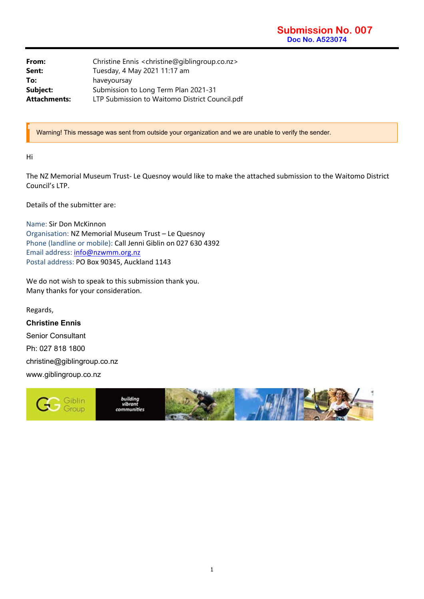| From:        | Christine Ennis <christine@giblingroup.co.nz></christine@giblingroup.co.nz> |
|--------------|-----------------------------------------------------------------------------|
| Sent:        | Tuesday, 4 May 2021 11:17 am                                                |
| To:          | haveyoursay                                                                 |
| Subject:     | Submission to Long Term Plan 2021-31                                        |
| Attachments: | LTP Submission to Waitomo District Council.pdf                              |

Warning! This message was sent from outside your organization and we are unable to verify the sender.

Hi

The NZ Memorial Museum Trust‐ Le Quesnoy would like to make the attached submission to the Waitomo District Council's LTP.

Details of the submitter are:

Name: Sir Don McKinnon Organisation: NZ Memorial Museum Trust – Le Quesnoy Phone (landline or mobile): Call Jenni Giblin on 027 630 4392 Email address: info@nzwmm.org.nz Postal address: PO Box 90345, Auckland 1143

We do not wish to speak to this submission thank you. Many thanks for your consideration.

Regards, **Christine Ennis**  Senior Consultant Ph: 027 818 1800 christine@giblingroup.co.nz www.giblingroup.co.nz

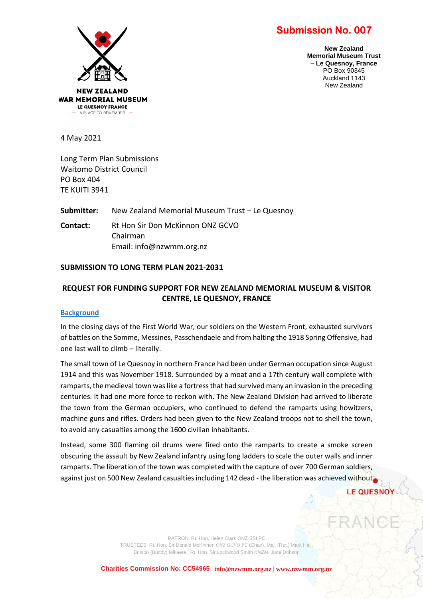# **Submission No. 007**



**New Zealand Memorial Museum Trust – Le Quesnoy, France** PO Box 90345 Auckland 1143 New Zealand

4 May 2021

Long Term Plan Submissions Waitomo District Council PO Box 404 TE KUITI 3941

**Submitter:** New Zealand Memorial Museum Trust – Le Quesnoy

**Contact:** Rt Hon Sir Don McKinnon ONZ GCVO Chairman Email: info@nzwmm.org.nz

## **SUBMISSION TO LONG TERM PLAN 2021-2031**

## **REQUEST FOR FUNDING SUPPORT FOR NEW ZEALAND MEMORIAL MUSEUM & VISITOR CENTRE, LE QUESNOY, FRANCE**

#### **Background**

In the closing days of the First World War, our soldiers on the Western Front, exhausted survivors of battles on the Somme, Messines, Passchendaele and from halting the 1918 Spring Offensive, had one last wall to climb – literally.

The small town of Le Quesnoy in northern France had been under German occupation since August 1914 and this was November 1918. Surrounded by a moat and a 17th century wall complete with ramparts, the medieval town was like a fortress that had survived many an invasion in the preceding centuries. It had one more force to reckon with. The New Zealand Division had arrived to liberate the town from the German occupiers, who continued to defend the ramparts using howitzers, machine guns and rifles. Orders had been given to the New Zealand troops not to shell the town, to avoid any casualties among the 1600 civilian inhabitants.

Instead, some 300 flaming oil drums were fired onto the ramparts to create a smoke screen obscuring the assault by New Zealand infantry using long ladders to scale the outer walls and inner ramparts. The liberation of the town was completed with the capture of over 700 German soldiers, against just on 500 New Zealand casualties including 142 dead - the liberation was achieved without

**LE QUESNO** 

PATRON Rt. Hon. Helen Clark ONZ SSI PC TRUSTEES Rt. Hon. Sir Donald McKinnon *ONZ GCVO PC* (Chair), Maj. (Ret.) Mark Hall, Britson (Buddy) Mikaere,, Rt. Hon. Sir Lockwood Smith *KNZM,* Jude Dobson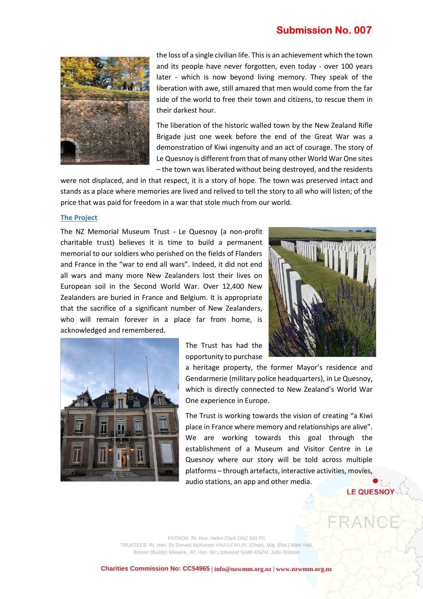# **Submission No. 007**



the loss of a single civilian life. This is an achievement which the town and its people have never forgotten, even today - over 100 years later - which is now beyond living memory. They speak of the liberation with awe, still amazed that men would come from the far side of the world to free their town and citizens, to rescue them in their darkest hour.

The liberation of the historic walled town by the New Zealand Rifle Brigade just one week before the end of the Great War was a demonstration of Kiwi ingenuity and an act of courage. The story of Le Quesnoy is different from that of many other World War One sites – the town was liberated without being destroyed, and the residents

were not displaced, and in that respect, it is a story of hope. The town was preserved intact and stands as a place where memories are lived and relived to tell the story to all who will listen; of the price that was paid for freedom in a war that stole much from our world.

#### **The Project**

The NZ Memorial Museum Trust - Le Quesnoy (a non-profit charitable trust) believes it is time to build a permanent memorial to our soldiers who perished on the fields of Flanders and France in the "war to end all wars". Indeed, it did not end all wars and many more New Zealanders lost their lives on European soil in the Second World War. Over 12,400 New Zealanders are buried in France and Belgium. It is appropriate that the sacrifice of a significant number of New Zealanders, who will remain forever in a place far from home, is acknowledged and remembered.





The Trust has had the opportunity to purchase

a heritage property, the former Mayor's residence and Gendarmerie (military police headquarters), in Le Quesnoy, which is directly connected to New Zealand's World War One experience in Europe.

The Trust is working towards the vision of creating "a Kiwi place in France where memory and relationships are alive". We are working towards this goal through the establishment of a Museum and Visitor Centre in Le Quesnoy where our story will be told across multiple platforms – through artefacts, interactive activities, movies, audio stations, an app and other media.

## **LE QUESNOY**

PATRON Rt. Hon. Helen Clark ONZ SSI PC TRUSTEES Rt. Hon. Sir Donald McKinnon *ONZ GCVO PC* (Chair), Maj. (Ret.) Mark Hall, Britson (Buddy) Mikaere,, Rt. Hon. Sir Lockwood Smith *KNZM,* Jude Dobson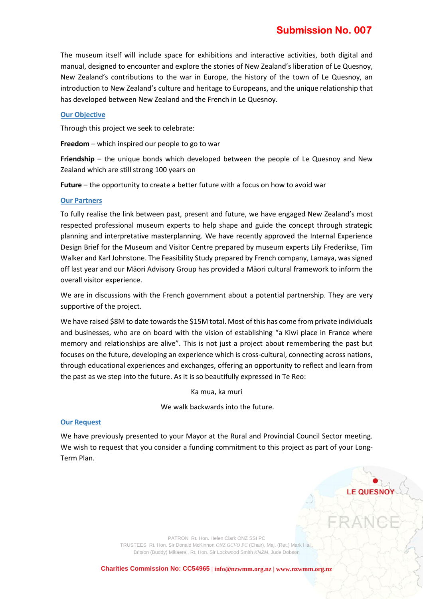The museum itself will include space for exhibitions and interactive activities, both digital and manual, designed to encounter and explore the stories of New Zealand's liberation of Le Quesnoy, New Zealand's contributions to the war in Europe, the history of the town of Le Quesnoy, an introduction to New Zealand's culture and heritage to Europeans, and the unique relationship that has developed between New Zealand and the French in Le Quesnoy.

## **Our Objective**

Through this project we seek to celebrate:

**Freedom** – which inspired our people to go to war

**Friendship** – the unique bonds which developed between the people of Le Quesnoy and New Zealand which are still strong 100 years on

**Future** – the opportunity to create a better future with a focus on how to avoid war

## **Our Partners**

To fully realise the link between past, present and future, we have engaged New Zealand's most respected professional museum experts to help shape and guide the concept through strategic planning and interpretative masterplanning. We have recently approved the Internal Experience Design Brief for the Museum and Visitor Centre prepared by museum experts Lily Frederikse, Tim Walker and Karl Johnstone. The Feasibility Study prepared by French company, Lamaya, was signed off last year and our Māori Advisory Group has provided a Māori cultural framework to inform the overall visitor experience.

We are in discussions with the French government about a potential partnership. They are very supportive of the project.

We have raised \$8M to date towards the \$15M total. Most of this has come from private individuals and businesses, who are on board with the vision of establishing "a Kiwi place in France where memory and relationships are alive". This is not just a project about remembering the past but focuses on the future, developing an experience which is cross-cultural, connecting across nations, through educational experiences and exchanges, offering an opportunity to reflect and learn from the past as we step into the future. As it is so beautifully expressed in Te Reo:

Ka mua, ka muri

We walk backwards into the future.

## **Our Request**

We have previously presented to your Mayor at the Rural and Provincial Council Sector meeting. We wish to request that you consider a funding commitment to this project as part of your Long-Term Plan.

> PATRON Rt. Hon. Helen Clark ONZ SSI PC TRUSTEES Rt. Hon. Sir Donald McKinnon *ONZ GCVO PC* (Chair), Maj. (Ret.) Mark Hall, Britson (Buddy) Mikaere,, Rt. Hon. Sir Lockwood Smith *KNZM,* Jude Dobson

**Charities Commission No: CC54965 | info@nzwmm.org.nz | www.nzwmm.org.nz**